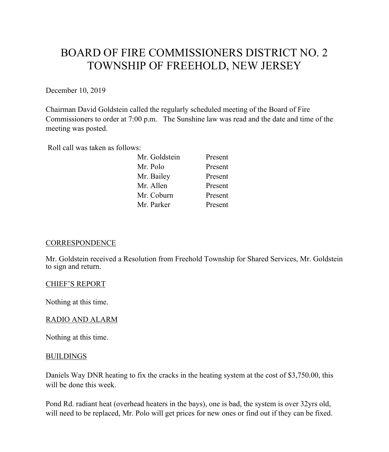# BOARD OF FIRE COMMISSIONERS DISTRICT NO. 2 TOWNSHIP OF FREEHOLD, NEW JERSEY

December 10, 2019

Chairman David Goldstein called the regularly scheduled meeting of the Board of Fire Commissioners to order at 7:00 p.m. The Sunshine law was read and the date and time of the meeting was posted.

Roll call was taken as follows:

| Mr. Goldstein | Present |
|---------------|---------|
| Mr. Polo      | Present |
| Mr. Bailey    | Present |
| Mr. Allen     | Present |
| Mr. Coburn    | Present |
| Mr. Parker    | Present |

# **CORRESPONDENCE**

Mr. Goldstein received a Resolution from Freehold Township for Shared Services, Mr. Goldstein to sign and return.

## CHIEF'S REPORT

Nothing at this time.

# RADIO AND ALARM

Nothing at this time.

## BUILDINGS

Daniels Way DNR heating to fix the cracks in the heating system at the cost of \$3,750.00, this will be done this week.

Pond Rd. radiant heat (overhead heaters in the bays), one is bad, the system is over 32yrs old, will need to be replaced, Mr. Polo will get prices for new ones or find out if they can be fixed.